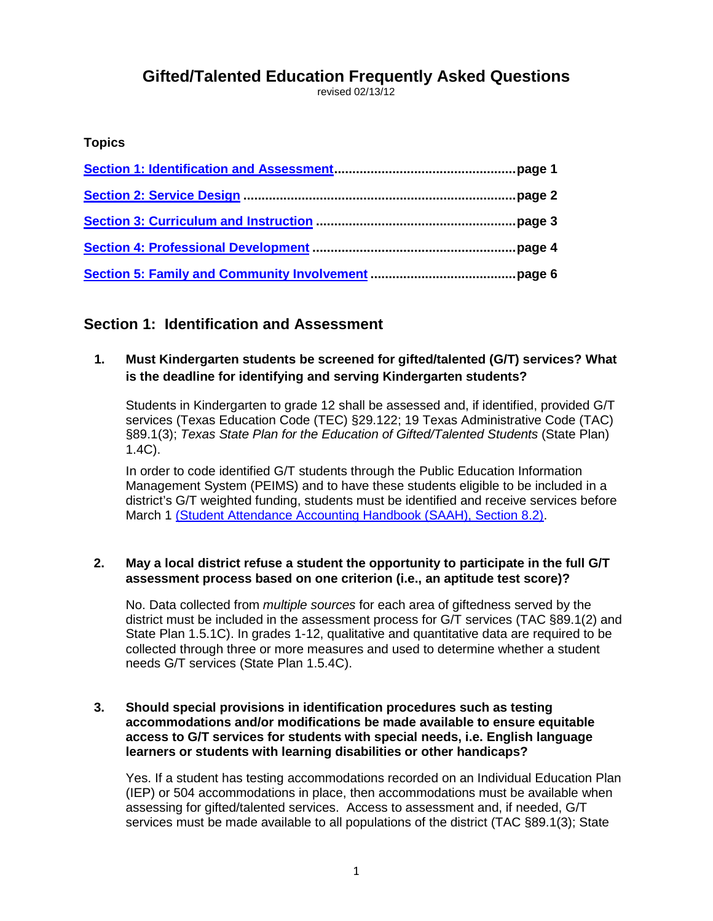# **Gifted/Talented Education Frequently Asked Questions**

revised 02/13/12

### **Topics**

## <span id="page-0-0"></span>**Section 1: Identification and Assessment**

## **1. Must Kindergarten students be screened for gifted/talented (G/T) services? What is the deadline for identifying and serving Kindergarten students?**

Students in Kindergarten to grade 12 shall be assessed and, if identified, provided G/T services (Texas Education Code (TEC) §29.122; 19 Texas Administrative Code (TAC) §89.1(3); *Texas State Plan for the Education of Gifted/Talented Students* (State Plan) 1.4C).

In order to code identified G/T students through the Public Education Information Management System (PEIMS) and to have these students eligible to be included in a district's G/T weighted funding, students must be identified and receive services before March 1 [\(Student Attendance Accounting Handbook \(SAAH\), Section 8.2\).](http://www.tea.state.tx.us/WorkArea/linkit.aspx?LinkIdentifier=id&ItemID=2147504076&libID=2147504070#Final selection of students)

#### **2. May a local district refuse a student the opportunity to participate in the full G/T assessment process based on one criterion (i.e., an aptitude test score)?**

No. Data collected from *multiple sources* for each area of giftedness served by the district must be included in the assessment process for G/T services (TAC §89.1(2) and State Plan 1.5.1C). In grades 1-12, qualitative and quantitative data are required to be collected through three or more measures and used to determine whether a student needs G/T services (State Plan 1.5.4C).

#### **3. Should special provisions in identification procedures such as testing accommodations and/or modifications be made available to ensure equitable access to G/T services for students with special needs, i.e. English language learners or students with learning disabilities or other handicaps?**

Yes. If a student has testing accommodations recorded on an Individual Education Plan (IEP) or 504 accommodations in place, then accommodations must be available when assessing for gifted/talented services. Access to assessment and, if needed, G/T services must be made available to all populations of the district (TAC §89.1(3); State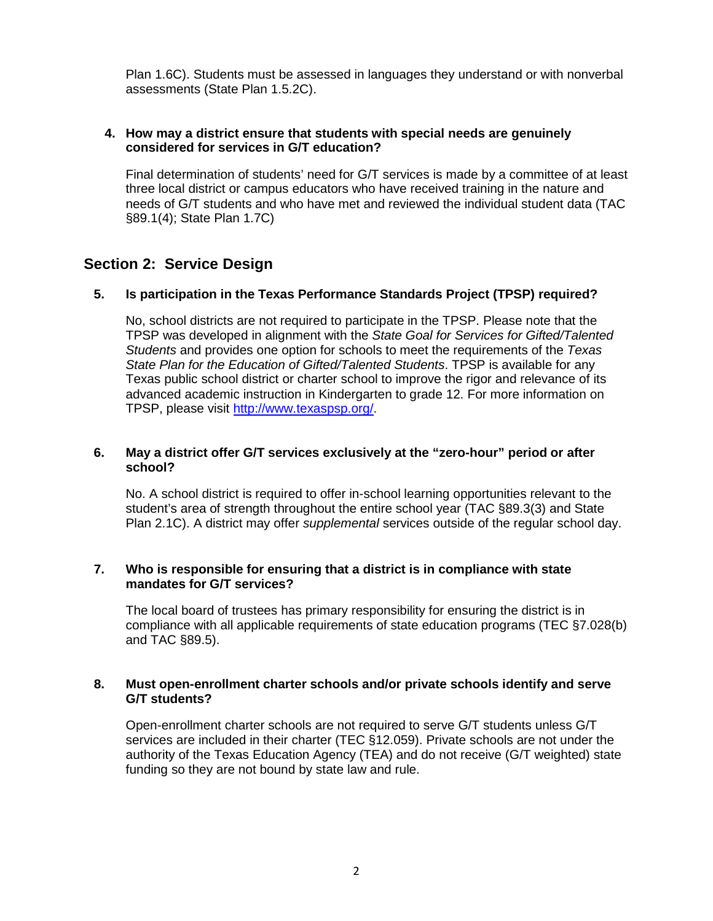Plan 1.6C). Students must be assessed in languages they understand or with nonverbal assessments (State Plan 1.5.2C).

#### **4. How may a district ensure that students with special needs are genuinely considered for services in G/T education?**

Final determination of students' need for G/T services is made by a committee of at least three local district or campus educators who have received training in the nature and needs of G/T students and who have met and reviewed the individual student data (TAC §89.1(4); State Plan 1.7C)

## <span id="page-1-0"></span>**Section 2: Service Design**

### **5. Is participation in the Texas Performance Standards Project (TPSP) required?**

No, school districts are not required to participate in the TPSP. Please note that the TPSP was developed in alignment with the *State Goal for Services for Gifted/Talented Students* and provides one option for schools to meet the requirements of the *Texas State Plan for the Education of Gifted/Talented Students*. TPSP is available for any Texas public school district or charter school to improve the rigor and relevance of its advanced academic instruction in Kindergarten to grade 12. For more information on TPSP, please visit [http://www.texaspsp.org/.](http://www.texaspsp.org/)

#### **6. May a district offer G/T services exclusively at the "zero-hour" period or after school?**

No. A school district is required to offer in-school learning opportunities relevant to the student's area of strength throughout the entire school year (TAC §89.3(3) and State Plan 2.1C). A district may offer *supplemental* services outside of the regular school day.

#### **7. Who is responsible for ensuring that a district is in compliance with state mandates for G/T services?**

The local board of trustees has primary responsibility for ensuring the district is in compliance with all applicable requirements of state education programs (TEC §7.028(b) and TAC §89.5).

#### **8. Must open-enrollment charter schools and/or private schools identify and serve G/T students?**

Open-enrollment charter schools are not required to serve G/T students unless G/T services are included in their charter (TEC §12.059). Private schools are not under the authority of the Texas Education Agency (TEA) and do not receive (G/T weighted) state funding so they are not bound by state law and rule.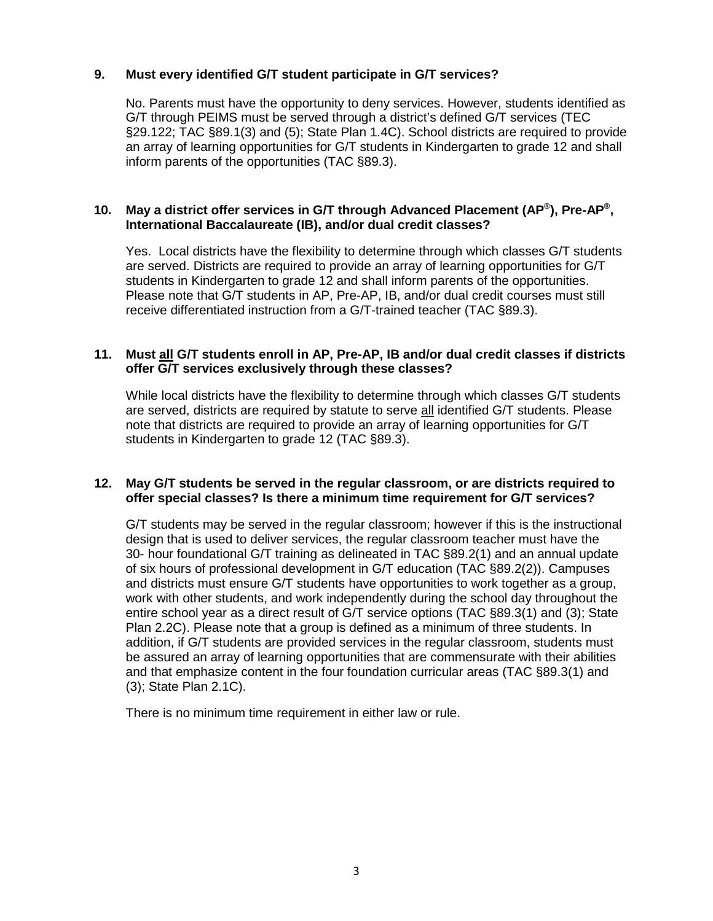#### **9. Must every identified G/T student participate in G/T services?**

No. Parents must have the opportunity to deny services. However, students identified as G/T through PEIMS must be served through a district's defined G/T services (TEC §29.122; TAC §89.1(3) and (5); State Plan 1.4C). School districts are required to provide an array of learning opportunities for G/T students in Kindergarten to grade 12 and shall inform parents of the opportunities (TAC §89.3).

#### **10. May a district offer services in G/T through Advanced Placement (AP®), Pre-AP®, International Baccalaureate (IB), and/or dual credit classes?**

Yes. Local districts have the flexibility to determine through which classes G/T students are served. Districts are required to provide an array of learning opportunities for G/T students in Kindergarten to grade 12 and shall inform parents of the opportunities. Please note that G/T students in AP, Pre-AP, IB, and/or dual credit courses must still receive differentiated instruction from a G/T-trained teacher (TAC §89.3).

#### **11. Must all G/T students enroll in AP, Pre-AP, IB and/or dual credit classes if districts offer G/T services exclusively through these classes?**

While local districts have the flexibility to determine through which classes G/T students are served, districts are required by statute to serve all identified G/T students. Please note that districts are required to provide an array of learning opportunities for G/T students in Kindergarten to grade 12 (TAC §89.3).

#### **12. May G/T students be served in the regular classroom, or are districts required to offer special classes? Is there a minimum time requirement for G/T services?**

G/T students may be served in the regular classroom; however if this is the instructional design that is used to deliver services, the regular classroom teacher must have the 30- hour foundational G/T training as delineated in TAC §89.2(1) and an annual update of six hours of professional development in G/T education (TAC §89.2(2)). Campuses and districts must ensure G/T students have opportunities to work together as a group, work with other students, and work independently during the school day throughout the entire school year as a direct result of G/T service options (TAC §89.3(1) and (3); State Plan 2.2C). Please note that a group is defined as a minimum of three students. In addition, if G/T students are provided services in the regular classroom, students must be assured an array of learning opportunities that are commensurate with their abilities and that emphasize content in the four foundation curricular areas (TAC §89.3(1) and (3); State Plan 2.1C).

There is no minimum time requirement in either law or rule.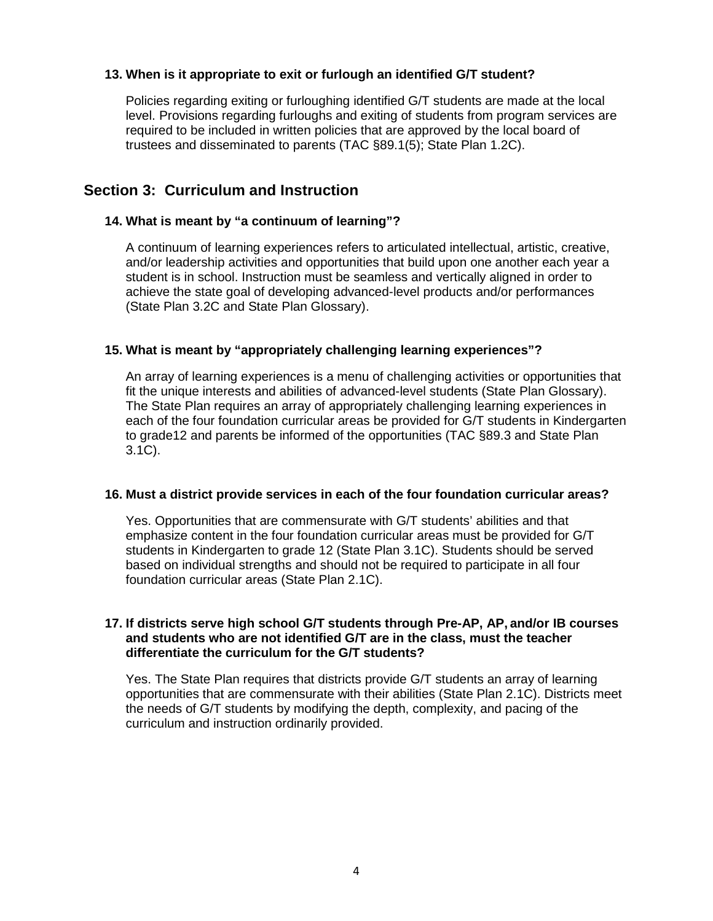#### **13. When is it appropriate to exit or furlough an identified G/T student?**

Policies regarding exiting or furloughing identified G/T students are made at the local level. Provisions regarding furloughs and exiting of students from program services are required to be included in written policies that are approved by the local board of trustees and disseminated to parents (TAC §89.1(5); State Plan 1.2C).

### <span id="page-3-0"></span>**Section 3: Curriculum and Instruction**

#### **14. What is meant by "a continuum of learning"?**

A continuum of learning experiences refers to articulated intellectual, artistic, creative, and/or leadership activities and opportunities that build upon one another each year a student is in school. Instruction must be seamless and vertically aligned in order to achieve the state goal of developing advanced-level products and/or performances (State Plan 3.2C and State Plan Glossary).

#### **15. What is meant by "appropriately challenging learning experiences"?**

An array of learning experiences is a menu of challenging activities or opportunities that fit the unique interests and abilities of advanced-level students (State Plan Glossary). The State Plan requires an array of appropriately challenging learning experiences in each of the four foundation curricular areas be provided for G/T students in Kindergarten to grade12 and parents be informed of the opportunities (TAC §89.3 and State Plan 3.1C).

#### **16. Must a district provide services in each of the four foundation curricular areas?**

Yes. Opportunities that are commensurate with G/T students' abilities and that emphasize content in the four foundation curricular areas must be provided for G/T students in Kindergarten to grade 12 (State Plan 3.1C). Students should be served based on individual strengths and should not be required to participate in all four foundation curricular areas (State Plan 2.1C).

#### **17. If districts serve high school G/T students through Pre-AP, AP, and/or IB courses and students who are not identified G/T are in the class, must the teacher differentiate the curriculum for the G/T students?**

Yes. The State Plan requires that districts provide G/T students an array of learning opportunities that are commensurate with their abilities (State Plan 2.1C). Districts meet the needs of G/T students by modifying the depth, complexity, and pacing of the curriculum and instruction ordinarily provided.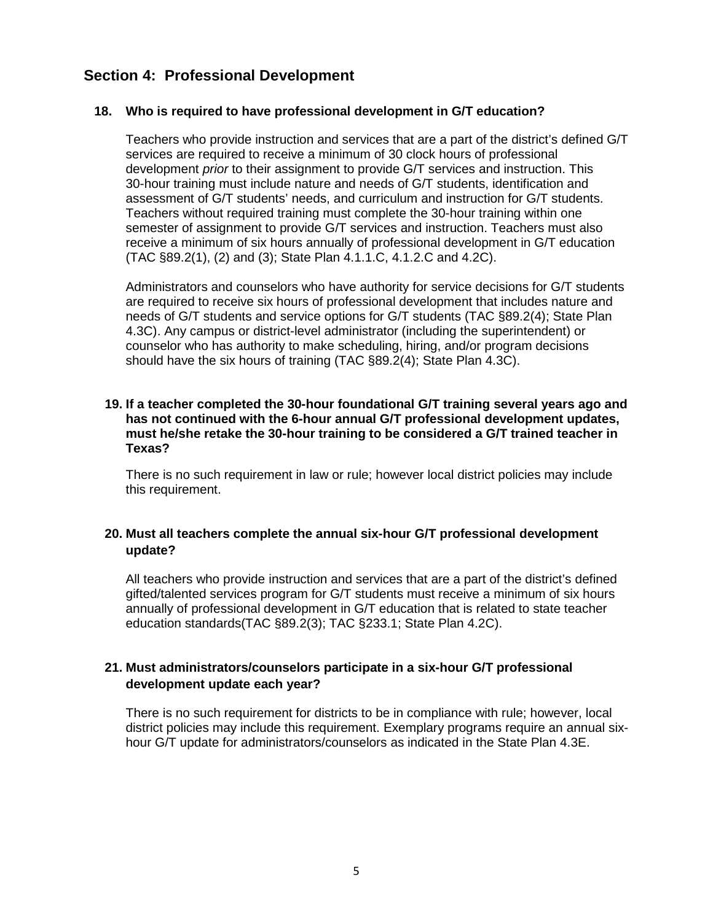## <span id="page-4-0"></span>**Section 4: Professional Development**

#### **18. Who is required to have professional development in G/T education?**

Teachers who provide instruction and services that are a part of the district's defined G/T services are required to receive a minimum of 30 clock hours of professional development *prior* to their assignment to provide G/T services and instruction. This 30-hour training must include nature and needs of G/T students, identification and assessment of G/T students' needs, and curriculum and instruction for G/T students. Teachers without required training must complete the 30-hour training within one semester of assignment to provide G/T services and instruction. Teachers must also receive a minimum of six hours annually of professional development in G/T education (TAC §89.2(1), (2) and (3); State Plan 4.1.1.C, 4.1.2.C and 4.2C).

Administrators and counselors who have authority for service decisions for G/T students are required to receive six hours of professional development that includes nature and needs of G/T students and service options for G/T students (TAC §89.2(4); State Plan 4.3C). Any campus or district-level administrator (including the superintendent) or counselor who has authority to make scheduling, hiring, and/or program decisions should have the six hours of training (TAC §89.2(4); State Plan 4.3C).

#### **19. If a teacher completed the 30-hour foundational G/T training several years ago and has not continued with the 6-hour annual G/T professional development updates, must he/she retake the 30-hour training to be considered a G/T trained teacher in Texas?**

There is no such requirement in law or rule; however local district policies may include this requirement.

#### **20. Must all teachers complete the annual six-hour G/T professional development update?**

All teachers who provide instruction and services that are a part of the district's defined gifted/talented services program for G/T students must receive a minimum of six hours annually of professional development in G/T education that is related to state teacher education standards(TAC §89.2(3); TAC §233.1; State Plan 4.2C).

### **21. Must administrators/counselors participate in a six-hour G/T professional development update each year?**

There is no such requirement for districts to be in compliance with rule; however, local district policies may include this requirement. Exemplary programs require an annual sixhour G/T update for administrators/counselors as indicated in the State Plan 4.3E.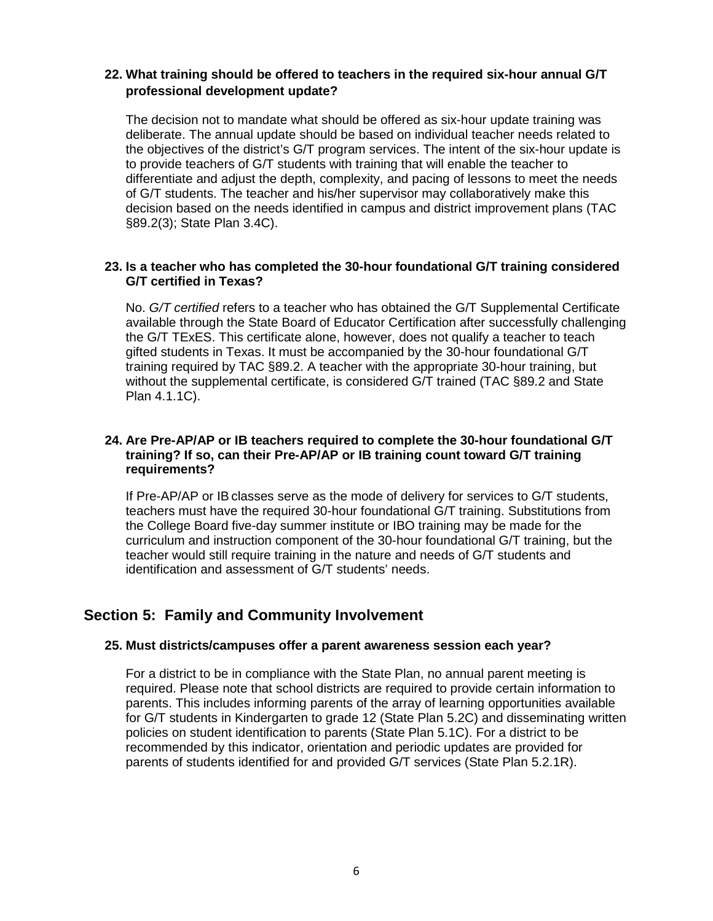#### **22. What training should be offered to teachers in the required six-hour annual G/T professional development update?**

The decision not to mandate what should be offered as six-hour update training was deliberate. The annual update should be based on individual teacher needs related to the objectives of the district's G/T program services. The intent of the six-hour update is to provide teachers of G/T students with training that will enable the teacher to differentiate and adjust the depth, complexity, and pacing of lessons to meet the needs of G/T students. The teacher and his/her supervisor may collaboratively make this decision based on the needs identified in campus and district improvement plans (TAC §89.2(3); State Plan 3.4C).

#### **23. Is a teacher who has completed the 30-hour foundational G/T training considered G/T certified in Texas?**

No. *G/T certified* refers to a teacher who has obtained the G/T Supplemental Certificate available through the State Board of Educator Certification after successfully challenging the G/T TExES. This certificate alone, however, does not qualify a teacher to teach gifted students in Texas. It must be accompanied by the 30-hour foundational G/T training required by TAC §89.2. A teacher with the appropriate 30-hour training, but without the supplemental certificate, is considered G/T trained (TAC §89.2 and State Plan 4.1.1C).

#### **24. Are Pre-AP/AP or IB teachers required to complete the 30-hour foundational G/T training? If so, can their Pre-AP/AP or IB training count toward G/T training requirements?**

If Pre-AP/AP or IBclasses serve as the mode of delivery for services to G/T students, teachers must have the required 30-hour foundational G/T training. Substitutions from the College Board five-day summer institute or IBO training may be made for the curriculum and instruction component of the 30-hour foundational G/T training, but the teacher would still require training in the nature and needs of G/T students and identification and assessment of G/T students' needs.

## <span id="page-5-0"></span>**Section 5: Family and Community Involvement**

#### **25. Must districts/campuses offer a parent awareness session each year?**

For a district to be in compliance with the State Plan, no annual parent meeting is required. Please note that school districts are required to provide certain information to parents. This includes informing parents of the array of learning opportunities available for G/T students in Kindergarten to grade 12 (State Plan 5.2C) and disseminating written policies on student identification to parents (State Plan 5.1C). For a district to be recommended by this indicator, orientation and periodic updates are provided for parents of students identified for and provided G/T services (State Plan 5.2.1R).